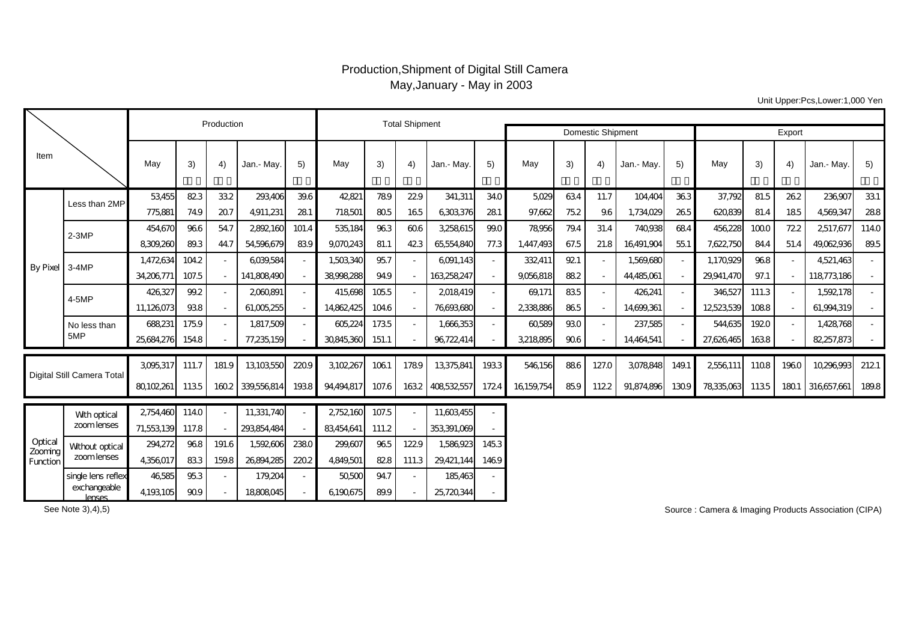## Production,Shipment of Digital Still Camera May,January - May in 2003

Unit Upper:Pcs,Lower:1,000 Yen

|                                |                                   |            | Production |                          | <b>Total Shipment</b> |                          |            |       |       |             |      |            |                          |                          |            |                          |            |       |      |             |       |
|--------------------------------|-----------------------------------|------------|------------|--------------------------|-----------------------|--------------------------|------------|-------|-------|-------------|------|------------|--------------------------|--------------------------|------------|--------------------------|------------|-------|------|-------------|-------|
|                                |                                   |            |            |                          |                       |                          |            |       |       |             |      |            | <b>Domestic Shipment</b> | Export                   |            |                          |            |       |      |             |       |
| Item                           |                                   | May        | 3)         | 4)                       | Jan.- May.            | 5)                       | May        | 3)    | 4)    | Jan.- May.  | 5)   | May        | 3)                       | 4)                       | Jan.- May. | 5)                       | May        | 3)    | 4)   | Jan.- May.  | 5)    |
| <b>By Pixel</b>                | Less than 2MP                     | 53,455     | 823        | 332                      | 293,406               | 39.6                     | 42821      | 789   | 229   | 341,311     | 34.0 | 5,029      | 634                      | 11.7                     | 104,404    | 363                      | 37,792     | 81.5  | 262  | 236,907     | 331   |
|                                |                                   | 775.881    | 74.9       | 207                      | 4,911,231             | 281                      | 718501     | 805   | 165   | 6303,376    | 281  | 97,662     | 75.2                     | 9.6                      | 1.734.029  | 265                      | 620,839    | 81.4  | 185  | 4.569.347   | 288   |
|                                | $2-3MP$                           | 454,670    | 966        | 54.7                     | 2892160               | 101.4                    | 535,184    | 963   | 606   | 3,258,615   | 99.0 | 78956      | 79.4                     | 31.4                     | 740,938    | 684                      | 456,228    | 1000  | 722  | 2517,677    | 114.0 |
|                                |                                   | 8309,260   | 89.3       | 44.7                     | 54,596,679            | 839                      | 9070243    | 81.1  | 423   | 65554,840   | 77.3 | 1,447,493  | 67.5                     | 21.8                     | 16,491,904 | 55.1                     | 7,622,750  | 84.4  | 51.4 | 49.062936   | 89.5  |
|                                | 3-4MP                             | 1,472,634  | 104.2      | $\overline{\phantom{a}}$ | 6039,584              | $\overline{\phantom{a}}$ | 1,503,340  | 957   |       | 6091,143    |      | 332,411    | 921                      | $\overline{\phantom{a}}$ | 1,569,680  | $\overline{\phantom{a}}$ | 1,170,929  | 968   |      | 4,521,463   |       |
|                                |                                   | 34,206,771 | 107.5      | $\blacksquare$           | 141,808,490           | $\overline{\phantom{a}}$ | 38,998,288 | 94.9  |       | 163,258,247 |      | 9,056,818  | 882                      | $\overline{\phantom{a}}$ | 44,485,061 |                          | 29,941,470 | 97.1  |      | 118,773,186 |       |
|                                | 4-5MP                             | 426,327    | 99.2       | $\overline{\phantom{a}}$ | 2060,891              | $\sim$                   | 415,698    | 1055  |       | 2018,419    |      | 69,171     | 83.5                     | $\sim$                   | 426,241    | $\overline{\phantom{a}}$ | 346,527    | 111.3 |      | 1,592,178   |       |
|                                |                                   | 11,126,073 | 938        |                          | 61,005,255            | $\overline{\phantom{a}}$ | 14,862,425 | 104.6 |       | 76,693,680  |      | 2338886    | 865                      | $\overline{\phantom{a}}$ | 14,699,361 | $\overline{\phantom{a}}$ | 12523539   | 1088  |      | 61,994,319  |       |
|                                | No less than                      | 688,231    | 1759       |                          | 1,817,509             | $\overline{\phantom{a}}$ | 605,224    | 1735  |       | 1,666,353   |      | 60589      | 93.0                     | $\overline{\phantom{a}}$ | 237,585    |                          | 544,635    | 1920  |      | 1,428,768   |       |
|                                | 5MP                               | 25,684,276 | 154.8      |                          | 77,235,159            | $\overline{\phantom{a}}$ | 30845,360  | 151.1 |       | 96,722,414  |      | 3,218,895  | 906                      | $\overline{\phantom{a}}$ | 14,464,541 |                          | 27,626,465 | 1638  |      | 82,257,873  |       |
| Digital Still Camera Total     |                                   | 3095,317   | 111.7      | 181.9                    | 13,103,550            | 2209                     | 3,102,267  | 1061  | 1789  | 13,375,841  | 1933 | 546156     | 886                      | 127.0                    | 3078848    | 149.1                    | 2556111    | 1108  | 1960 | 10,296,993  | 2121  |
|                                |                                   | 80102,261  | 1135       | 1602                     | 339,556,814           | 1938                     | 94,494,817 | 107.6 | 1632  | 408532557   | 1724 | 16,159,754 | 859                      | 1122                     | 91,874,896 | 1309                     | 78,335,063 | 1135  | 1801 | 316657,661  | 189.8 |
| Optical<br>Zooming<br>Function | <b>Wth optical</b><br>zoom lenses | 2,754,460  | 1140       |                          | 11,331,740            | $\overline{\phantom{a}}$ | 2752160    | 107.5 |       | 11,603,455  |      |            |                          |                          |            |                          |            |       |      |             |       |
|                                |                                   | 71,553,139 | 117.8      |                          | 293,854,484           | $\overline{\phantom{a}}$ | 83,454,641 | 111.2 |       | 353,391,069 |      |            |                          |                          |            |                          |            |       |      |             |       |
|                                | Without optical                   | 294,272    | 968        | 191.6                    | 1,592,606             | 2380                     | 299,607    | 965   | 1229  | 1,586,923   | 1453 |            |                          |                          |            |                          |            |       |      |             |       |
|                                | zoom lenses                       | 4,356,017  | 833        | 159.8                    | 26,894,285            | 2202                     | 4,849,501  | 828   | 111.3 | 29,421,144  | 1469 |            |                          |                          |            |                          |            |       |      |             |       |
|                                | single lens reflex                | 46,585     | 953        |                          | 179,204               | $\blacksquare$           | 50,500     | 94.7  |       | 185,463     |      |            |                          |                          |            |                          |            |       |      |             |       |
|                                | exchangeable<br>lenses            | 4,193,105  | 909        |                          | 18,808045             |                          | 6190675    | 89.9  |       | 25,720,344  |      |            |                          |                          |            |                          |            |       |      |             |       |

See Note 3),4),5)

Source : Camera & Imaging Products Association (CIPA)